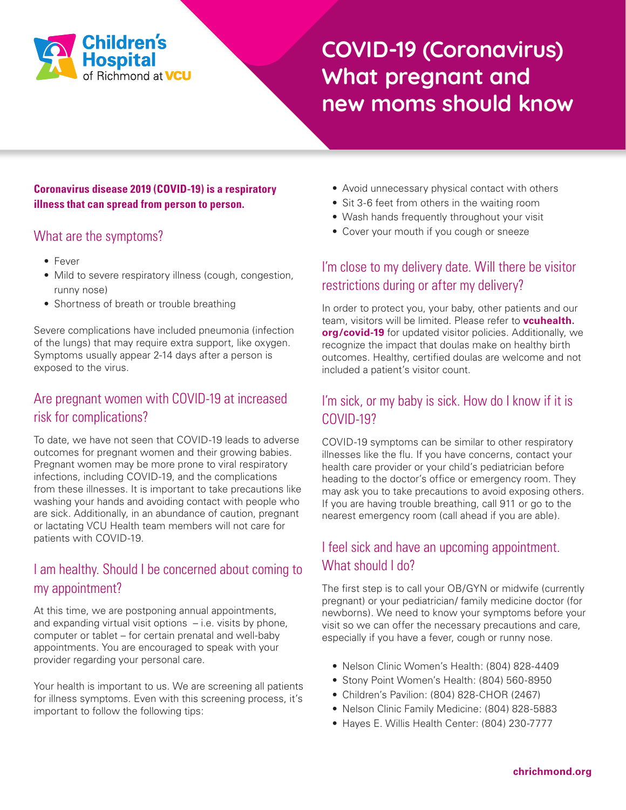

# **COVID-19 (Coronavirus) What pregnant and new moms should know**

#### **Coronavirus disease 2019 (COVID-19) is a respiratory illness that can spread from person to person.**

#### What are the symptoms?

- Fever
- Mild to severe respiratory illness (cough, congestion, runny nose)
- Shortness of breath or trouble breathing

Severe complications have included pneumonia (infection of the lungs) that may require extra support, like oxygen. Symptoms usually appear 2-14 days after a person is exposed to the virus.

### Are pregnant women with COVID-19 at increased risk for complications?

To date, we have not seen that COVID-19 leads to adverse outcomes for pregnant women and their growing babies. Pregnant women may be more prone to viral respiratory infections, including COVID-19, and the complications from these illnesses. It is important to take precautions like washing your hands and avoiding contact with people who are sick. Additionally, in an abundance of caution, pregnant or lactating VCU Health team members will not care for patients with COVID-19.

### I am healthy. Should I be concerned about coming to my appointment?

At this time, we are postponing annual appointments, and expanding virtual visit options  $-$  i.e. visits by phone, computer or tablet – for certain prenatal and well-baby appointments. You are encouraged to speak with your provider regarding your personal care.

Your health is important to us. We are screening all patients for illness symptoms. Even with this screening process, it's important to follow the following tips:

- Avoid unnecessary physical contact with others
- Sit 3-6 feet from others in the waiting room
- Wash hands frequently throughout your visit
- Cover your mouth if you cough or sneeze

#### I'm close to my delivery date. Will there be visitor restrictions during or after my delivery?

In order to protect you, your baby, other patients and our team, visitors will be limited. Please refer to **[vcuhealth.](http://vcuhealth.org/covid-19) [org/covid-19](http://vcuhealth.org/covid-19)** for updated visitor policies. Additionally, we recognize the impact that doulas make on healthy birth outcomes. Healthy, certified doulas are welcome and not included a patient's visitor count.

#### I'm sick, or my baby is sick. How do I know if it is COVID-19?

COVID-19 symptoms can be similar to other respiratory illnesses like the flu. If you have concerns, contact your health care provider or your child's pediatrician before heading to the doctor's office or emergency room. They may ask you to take precautions to avoid exposing others. If you are having trouble breathing, call 911 or go to the nearest emergency room (call ahead if you are able).

### I feel sick and have an upcoming appointment. What should I do?

The first step is to call your OB/GYN or midwife (currently pregnant) or your pediatrician/ family medicine doctor (for newborns). We need to know your symptoms before your visit so we can offer the necessary precautions and care, especially if you have a fever, cough or runny nose.

- Nelson Clinic Women's Health: (804) 828-4409
- Stony Point Women's Health: (804) 560-8950
- Children's Pavilion: (804) 828-CHOR (2467)
- Nelson Clinic Family Medicine: (804) 828-5883
- Hayes E. Willis Health Center: (804) 230-7777